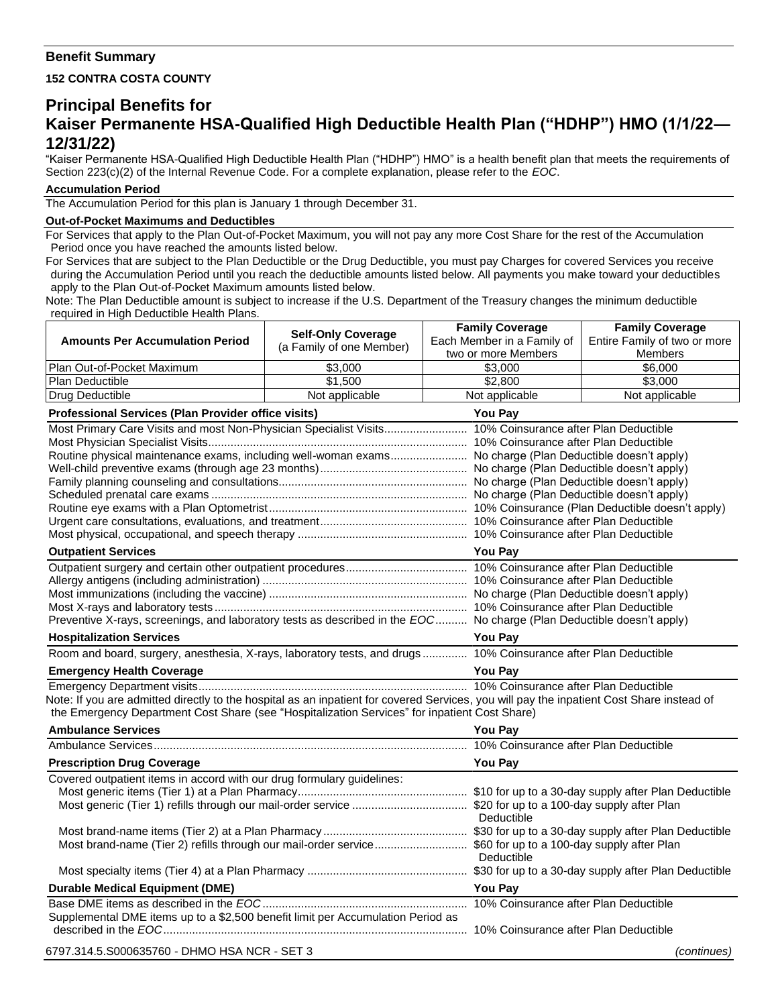## **Benefit Summary**

**152 CONTRA COSTA COUNTY**

# **Principal Benefits for Kaiser Permanente HSA-Qualified High Deductible Health Plan ("HDHP") HMO (1/1/22— 12/31/22)**

"Kaiser Permanente HSA-Qualified High Deductible Health Plan ("HDHP") HMO" is a health benefit plan that meets the requirements of Section 223(c)(2) of the Internal Revenue Code. For a complete explanation, please refer to the *EOC*.

#### **Accumulation Period**

The Accumulation Period for this plan is January 1 through December 31.

#### **Out-of-Pocket Maximums and Deductibles**

For Services that apply to the Plan Out-of-Pocket Maximum, you will not pay any more Cost Share for the rest of the Accumulation Period once you have reached the amounts listed below.

For Services that are subject to the Plan Deductible or the Drug Deductible, you must pay Charges for covered Services you receive during the Accumulation Period until you reach the deductible amounts listed below. All payments you make toward your deductibles apply to the Plan Out-of-Pocket Maximum amounts listed below.

Note: The Plan Deductible amount is subject to increase if the U.S. Department of the Treasury changes the minimum deductible required in High Deductible Health Plans. т Т **Family Coverage**

|                                                                                                                                           | <b>Self-Only Coverage</b> | <b>Family Coverage</b>     | <b>Family Coverage</b>       |  |
|-------------------------------------------------------------------------------------------------------------------------------------------|---------------------------|----------------------------|------------------------------|--|
| <b>Amounts Per Accumulation Period</b>                                                                                                    | (a Family of one Member)  | Each Member in a Family of | Entire Family of two or more |  |
|                                                                                                                                           |                           | two or more Members        | <b>Members</b>               |  |
| Plan Out-of-Pocket Maximum                                                                                                                | \$3,000                   | \$3,000                    | \$6,000                      |  |
| Plan Deductible                                                                                                                           | \$1,500                   | \$2,800                    | \$3,000                      |  |
| Drug Deductible                                                                                                                           | Not applicable            | Not applicable             | Not applicable               |  |
| Professional Services (Plan Provider office visits)                                                                                       | <b>You Pay</b>            |                            |                              |  |
|                                                                                                                                           |                           |                            |                              |  |
|                                                                                                                                           |                           |                            |                              |  |
| Routine physical maintenance exams, including well-woman exams No charge (Plan Deductible doesn't apply)                                  |                           |                            |                              |  |
|                                                                                                                                           |                           |                            |                              |  |
|                                                                                                                                           |                           |                            |                              |  |
|                                                                                                                                           |                           |                            |                              |  |
|                                                                                                                                           |                           |                            |                              |  |
|                                                                                                                                           |                           |                            |                              |  |
| <b>Outpatient Services</b>                                                                                                                |                           | <b>You Pay</b>             |                              |  |
|                                                                                                                                           |                           |                            |                              |  |
|                                                                                                                                           |                           |                            |                              |  |
|                                                                                                                                           |                           |                            |                              |  |
|                                                                                                                                           |                           |                            |                              |  |
| Preventive X-rays, screenings, and laboratory tests as described in the EOC No charge (Plan Deductible doesn't apply)                     |                           |                            |                              |  |
| <b>Hospitalization Services</b>                                                                                                           |                           | <b>You Pay</b>             |                              |  |
| Room and board, surgery, anesthesia, X-rays, laboratory tests, and drugs 10% Coinsurance after Plan Deductible                            |                           |                            |                              |  |
| <b>Emergency Health Coverage</b>                                                                                                          | <b>You Pay</b>            |                            |                              |  |
|                                                                                                                                           |                           |                            |                              |  |
| Note: If you are admitted directly to the hospital as an inpatient for covered Services, you will pay the inpatient Cost Share instead of |                           |                            |                              |  |
| the Emergency Department Cost Share (see "Hospitalization Services" for inpatient Cost Share)                                             |                           |                            |                              |  |
| <b>Ambulance Services</b>                                                                                                                 |                           | <b>You Pay</b>             |                              |  |
|                                                                                                                                           |                           |                            |                              |  |
| <b>Prescription Drug Coverage</b>                                                                                                         |                           | You Pay                    |                              |  |
| Covered outpatient items in accord with our drug formulary guidelines:                                                                    |                           |                            |                              |  |
|                                                                                                                                           |                           |                            |                              |  |
|                                                                                                                                           |                           | Deductible                 |                              |  |
|                                                                                                                                           |                           |                            |                              |  |
| Most brand-name (Tier 2) refills through our mail-order service \$60 for up to a 100-day supply after Plan                                |                           |                            |                              |  |
|                                                                                                                                           |                           | Deductible                 |                              |  |
|                                                                                                                                           |                           |                            |                              |  |
| <b>Durable Medical Equipment (DME)</b>                                                                                                    | <b>You Pav</b>            |                            |                              |  |
|                                                                                                                                           |                           |                            |                              |  |
| Supplemental DME items up to a \$2,500 benefit limit per Accumulation Period as                                                           |                           |                            |                              |  |
| 6797.314.5.S000635760 - DHMO HSA NCR - SET 3                                                                                              |                           |                            | (continues)                  |  |